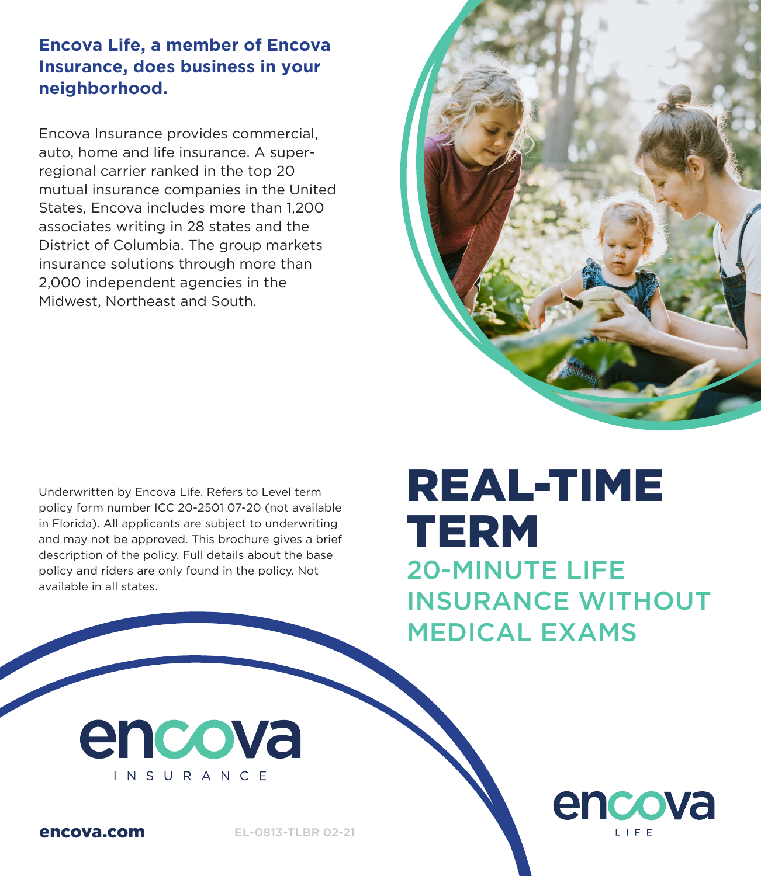#### **Encova Life, a member of Encova Insurance, does business in your neighborhood.**

Encova Insurance provides commercial, auto, home and life insurance. A superregional carrier ranked in the top 20 mutual insurance companies in the United States, Encova includes more than 1,200 associates writing in 28 states and the District of Columbia. The group markets insurance solutions through more than 2,000 independent agencies in the Midwest, Northeast and South.

Underwritten by Encova Life. Refers to Level term policy form number ICC 20-2501 07-20 (not available in Florida). All applicants are subject to underwriting and may not be approved. This brochure gives a brief description of the policy. Full details about the base policy and riders are only found in the policy. Not available in all states.

# REAL-TIME TERM 20-MINUTE LIFE

INSURANCE WITHOUT MEDICAL EXAMS

> encova LIFE

encova INSURANCE



encova.com EL-0813-TLBR 02-21